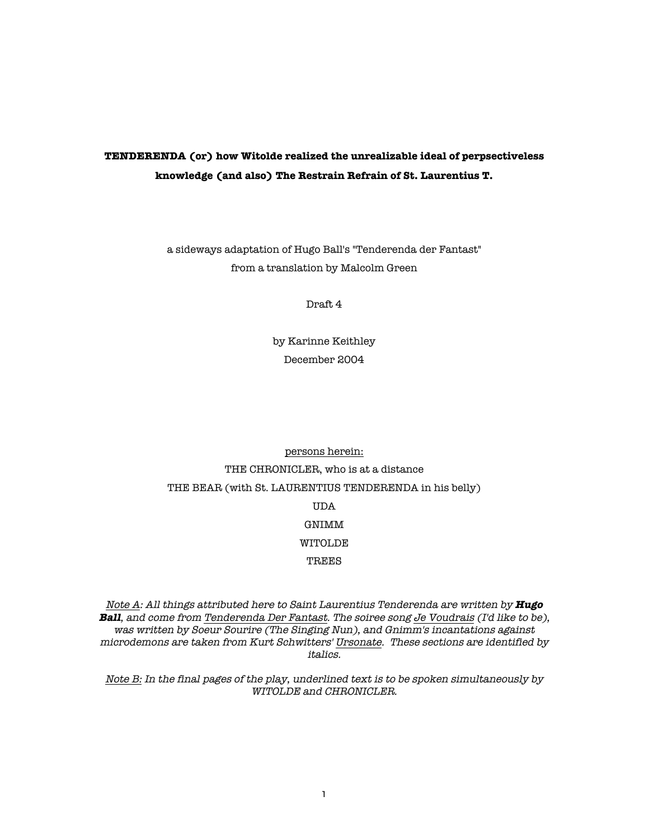# **TENDERENDA (or) how Witolde realized the unrealizable ideal of perpsectiveless knowledge (and also) The Restrain Refrain of St. Laurentius T.**

a sideways adaptation of Hugo Ball's "Tenderenda der Fantast" from a translation by Malcolm Green

Draft 4

by Karinne Keithley December 2004

# persons herein:

THE CHRONICLER, who is at a distance THE BEAR (with St. LAURENTIUS TENDERENDA in his belly) UDA GNIMM WITOLDE

TREES

Note A: All things attributed here to Saint Laurentius Tenderenda are written by **Hugo Ball**, and come from Tenderenda Der Fantast. The soiree song Je Voudrais (I'd like to be), was written by Soeur Sourire (The Singing Nun), and Gnimm's incantations against microdemons are taken from Kurt Schwitters' Ursonate. These sections are identified by italics.

Note B: In the final pages of the play, underlined text is to be spoken simultaneously by WITOLDE and CHRONICLER.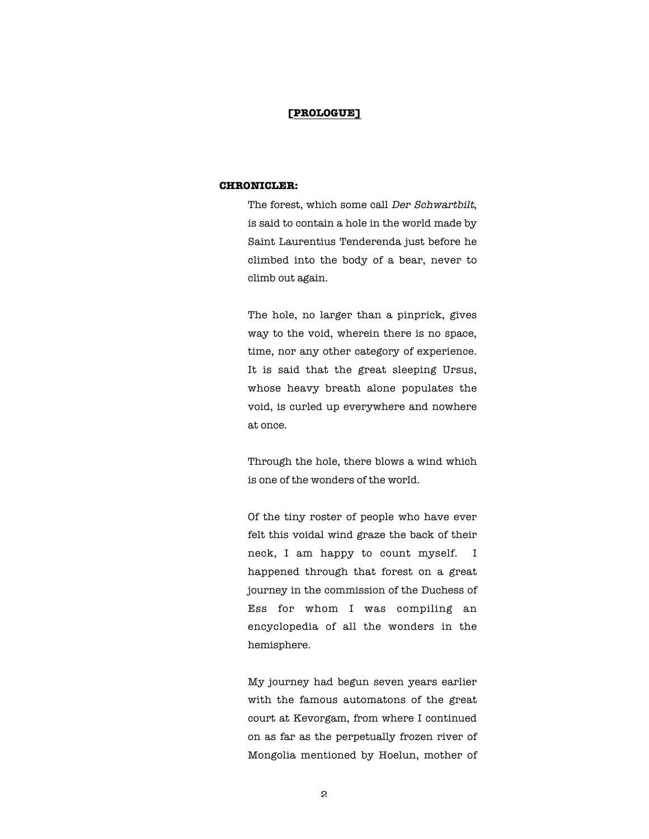# **[PROLOGUE]**

### **CHRONICLER:**

The forest, which some call Der Schwartbilt, is said to contain a hole in the world made by Saint Laurentius Tenderenda just before he climbed into the body of a bear, never to climb out again.

The hole, no larger than a pinprick, gives way to the void, wherein there is no space, time, nor any other category of experience. It is said that the great sleeping Ursus, whose heavy breath alone populates the void, is curled up everywhere and nowhere at once.

Through the hole, there blows a wind which is one of the wonders of the world.

Of the tiny roster of people who have ever felt this voidal wind graze the back of their neck, I am happy to count myself. I happened through that forest on a great journey in the commission of the Duchess of Ess for whom I was compiling an encyclopedia of all the wonders in the hemisphere.

My journey had begun seven years earlier with the famous automatons of the great court at Kevorgam, from where I continued on as far as the perpetually frozen river of Mongolia mentioned by Hoelun, mother of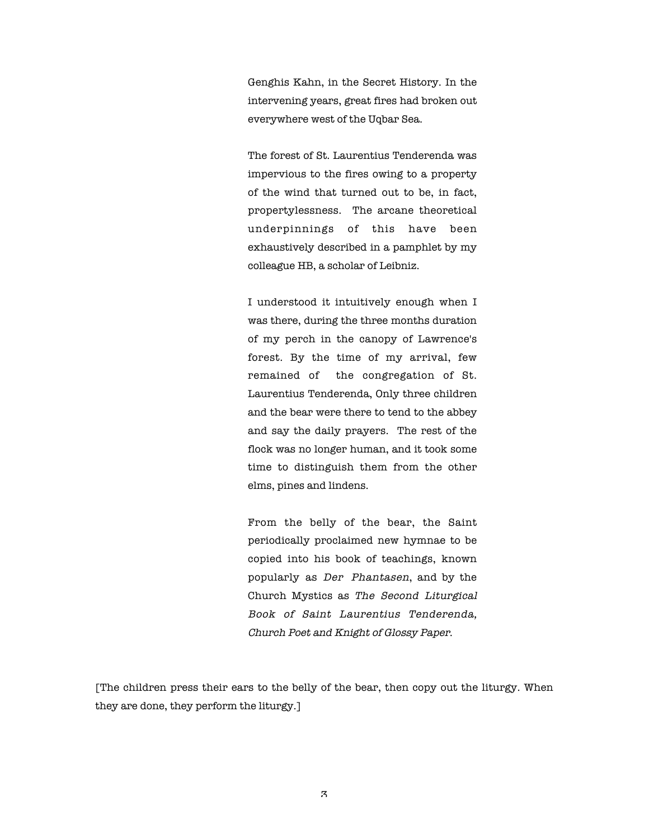Genghis Kahn, in the Secret History. In the intervening years, great fires had broken out everywhere west of the Uqbar Sea.

The forest of St. Laurentius Tenderenda was impervious to the fires owing to a property of the wind that turned out to be, in fact, propertylessness. The arcane theoretical underpinnings of this have been exhaustively described in a pamphlet by my colleague HB, a scholar of Leibniz.

I understood it intuitively enough when I was there, during the three months duration of my perch in the canopy of Lawrence's forest. By the time of my arrival, few remained of the congregation of St. Laurentius Tenderenda, Only three children and the bear were there to tend to the abbey and say the daily prayers. The rest of the flock was no longer human, and it took some time to distinguish them from the other elms, pines and lindens.

From the belly of the bear, the Saint periodically proclaimed new hymnae to be copied into his book of teachings, known popularly as Der Phantasen, and by the Church Mystics as The Second Liturgical Book of Saint Laurentius Tenderenda, Church Poet and Knight of Glossy Paper.

[The children press their ears to the belly of the bear, then copy out the liturgy. When they are done, they perform the liturgy.]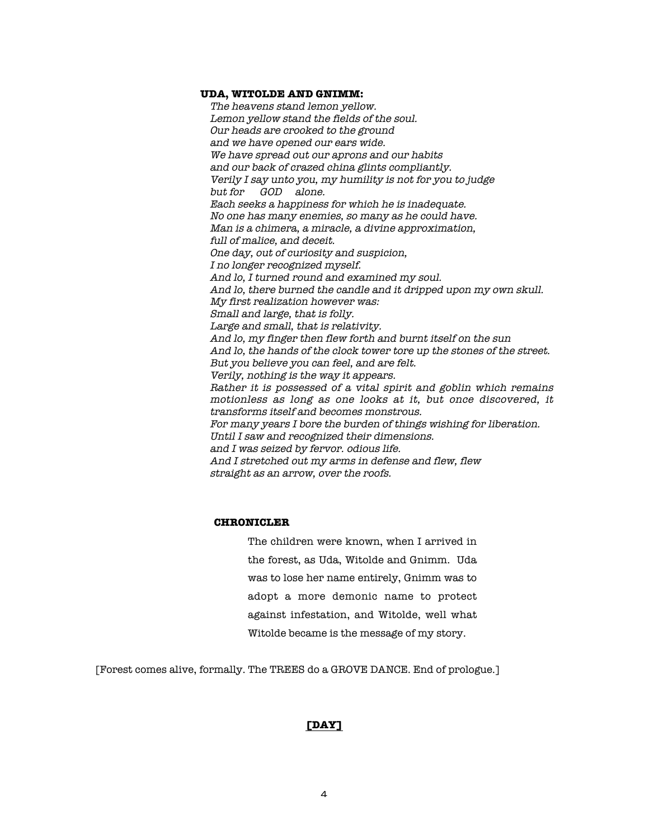### **UDA, WITOLDE AND GNIMM:**

The heavens stand lemon yellow. Lemon yellow stand the fields of the soul. Our heads are crooked to the ground and we have opened our ears wide. We have spread out our aprons and our habits and our back of crazed china glints compliantly. Verily I say unto you, my humility is not for you to judge but for GOD alone. Each seeks a happiness for which he is inadequate. No one has many enemies, so many as he could have. Man is a chimera, a miracle, a divine approximation, full of malice, and deceit. One day, out of curiosity and suspicion, I no longer recognized myself. And lo, I turned round and examined my soul. And lo, there burned the candle and it dripped upon my own skull. My first realization however was: Small and large, that is folly. Large and small, that is relativity. And lo, my finger then flew forth and burnt itself on the sun And lo, the hands of the clock tower tore up the stones of the street. But you believe you can feel, and are felt. Verily, nothing is the way it appears. Rather it is possessed of a vital spirit and goblin which remains motionless as long as one looks at it, but once discovered, it transforms itself and becomes monstrous. For many years I bore the burden of things wishing for liberation. Until I saw and recognized their dimensions. and I was seized by fervor. odious life. And I stretched out my arms in defense and flew, flew straight as an arrow, over the roofs.

### **CHRONICLER**

The children were known, when I arrived in the forest, as Uda, Witolde and Gnimm. Uda was to lose her name entirely, Gnimm was to adopt a more demonic name to protect against infestation, and Witolde, well what Witolde became is the message of my story.

[Forest comes alive, formally. The TREES do a GROVE DANCE. End of prologue.]

#### **[DAY]**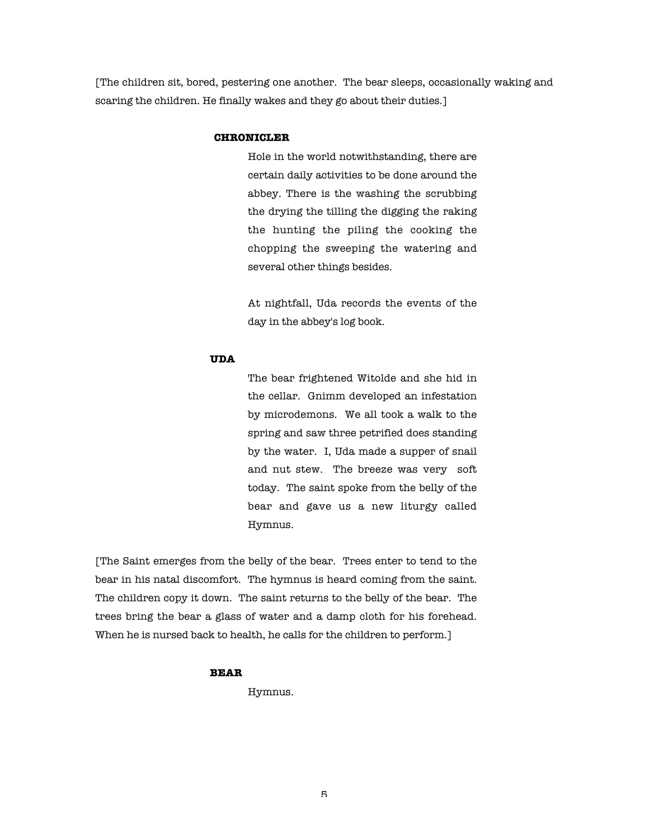[The children sit, bored, pestering one another. The bear sleeps, occasionally waking and scaring the children. He finally wakes and they go about their duties.]

# **CHRONICLER**

Hole in the world notwithstanding, there are certain daily activities to be done around the abbey. There is the washing the scrubbing the drying the tilling the digging the raking the hunting the piling the cooking the chopping the sweeping the watering and several other things besides.

At nightfall, Uda records the events of the day in the abbey's log book.

### **UDA**

The bear frightened Witolde and she hid in the cellar. Gnimm developed an infestation by microdemons. We all took a walk to the spring and saw three petrified does standing by the water. I, Uda made a supper of snail and nut stew. The breeze was very soft today. The saint spoke from the belly of the bear and gave us a new liturgy called Hymnus.

[The Saint emerges from the belly of the bear. Trees enter to tend to the bear in his natal discomfort. The hymnus is heard coming from the saint. The children copy it down. The saint returns to the belly of the bear. The trees bring the bear a glass of water and a damp cloth for his forehead. When he is nursed back to health, he calls for the children to perform.]

#### **BEAR**

Hymnus.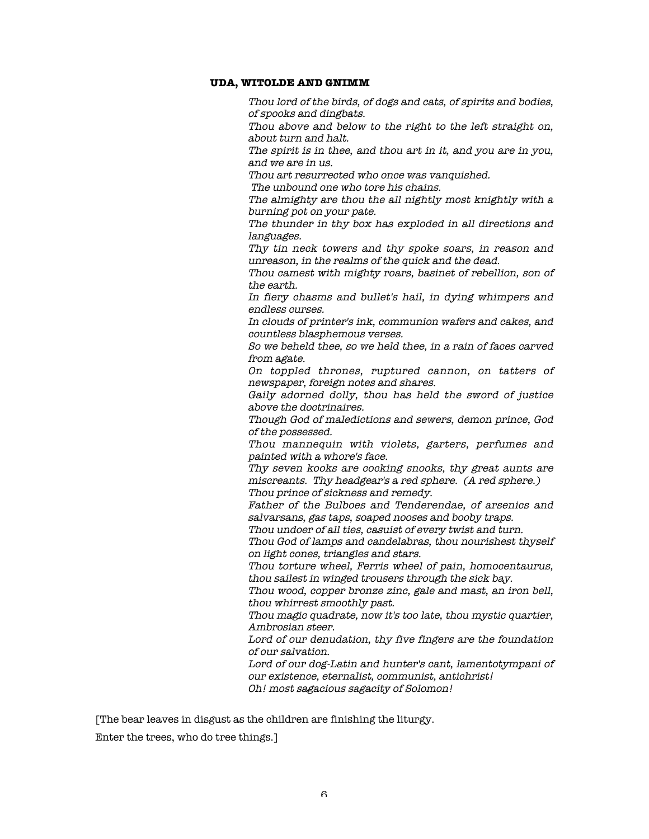#### **UDA, WITOLDE AND GNIMM**

Thou lord of the birds, of dogs and cats, of spirits and bodies, of spooks and dingbats.

Thou above and below to the right to the left straight on, about turn and halt.

The spirit is in thee, and thou art in it, and you are in you, and we are in us.

Thou art resurrected who once was vanquished.

The unbound one who tore his chains.

The almighty are thou the all nightly most knightly with a burning pot on your pate.

The thunder in thy box has exploded in all directions and languages.

Thy tin neck towers and thy spoke soars, in reason and unreason, in the realms of the quick and the dead.

Thou camest with mighty roars, basinet of rebellion, son of the earth.

In fiery chasms and bullet's hail, in dying whimpers and endless curses.

In clouds of printer's ink, communion wafers and cakes, and countless blasphemous verses.

So we beheld thee, so we held thee, in a rain of faces carved from agate.

On toppled thrones, ruptured cannon, on tatters of newspaper, foreign notes and shares.

Gaily adorned dolly, thou has held the sword of justice above the doctrinaires.

Though God of maledictions and sewers, demon prince, God of the possessed.

Thou mannequin with violets, garters, perfumes and painted with a whore's face.

Thy seven kooks are cocking snooks, thy great aunts are miscreants. Thy headgear's a red sphere. (A red sphere.)

Thou prince of sickness and remedy.

Father of the Bulboes and Tenderendae, of arsenics and salvarsans, gas taps, soaped nooses and booby traps.

Thou undoer of all ties, casuist of every twist and turn.

Thou God of lamps and candelabras, thou nourishest thyself on light cones, triangles and stars.

Thou torture wheel, Ferris wheel of pain, homocentaurus, thou sailest in winged trousers through the sick bay.

Thou wood, copper bronze zinc, gale and mast, an iron bell, thou whirrest smoothly past.

Thou magic quadrate, now it's too late, thou mystic quartier, Ambrosian steer.

Lord of our denudation, thy five fingers are the foundation of our salvation.

Lord of our dog-Latin and hunter's cant, lamentotympani of our existence, eternalist, communist, antichrist! Oh! most sagacious sagacity of Solomon!

[The bear leaves in disgust as the children are finishing the liturgy.

Enter the trees, who do tree things.]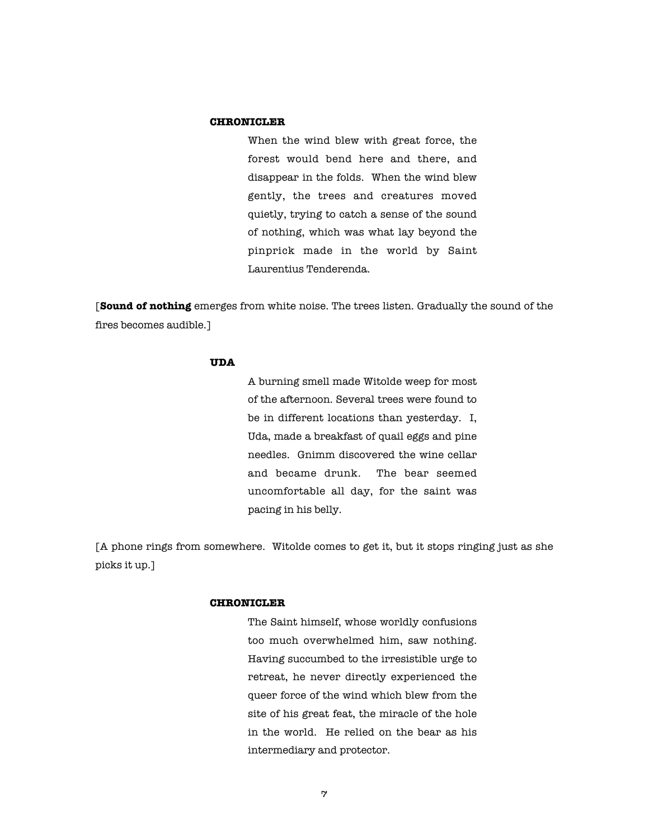# **CHRONICLER**

When the wind blew with great force, the forest would bend here and there, and disappear in the folds. When the wind blew gently, the trees and creatures moved quietly, trying to catch a sense of the sound of nothing, which was what lay beyond the pinprick made in the world by Saint Laurentius Tenderenda.

[**Sound of nothing** emerges from white noise. The trees listen. Gradually the sound of the fires becomes audible.]

### **UDA**

A burning smell made Witolde weep for most of the afternoon. Several trees were found to be in different locations than yesterday. I, Uda, made a breakfast of quail eggs and pine needles. Gnimm discovered the wine cellar and became drunk. The bear seemed uncomfortable all day, for the saint was pacing in his belly.

[A phone rings from somewhere. Witolde comes to get it, but it stops ringing just as she picks it up.]

#### **CHRONICLER**

The Saint himself, whose worldly confusions too much overwhelmed him, saw nothing. Having succumbed to the irresistible urge to retreat, he never directly experienced the queer force of the wind which blew from the site of his great feat, the miracle of the hole in the world. He relied on the bear as his intermediary and protector.

7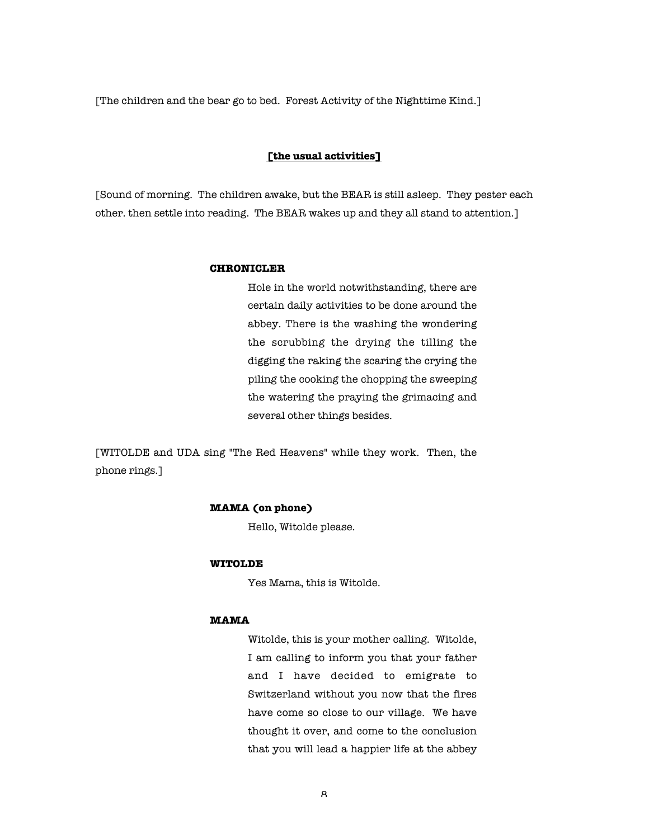[The children and the bear go to bed. Forest Activity of the Nighttime Kind.]

### **[the usual activities]**

[Sound of morning. The children awake, but the BEAR is still asleep. They pester each other. then settle into reading. The BEAR wakes up and they all stand to attention.]

#### **CHRONICLER**

Hole in the world notwithstanding, there are certain daily activities to be done around the abbey. There is the washing the wondering the scrubbing the drying the tilling the digging the raking the scaring the crying the piling the cooking the chopping the sweeping the watering the praying the grimacing and several other things besides.

[WITOLDE and UDA sing "The Red Heavens" while they work. Then, the phone rings.]

# **MAMA (on phone)**

Hello, Witolde please.

#### **WITOLDE**

Yes Mama, this is Witolde.

#### **MAMA**

Witolde, this is your mother calling. Witolde, I am calling to inform you that your father and I have decided to emigrate to Switzerland without you now that the fires have come so close to our village. We have thought it over, and come to the conclusion that you will lead a happier life at the abbey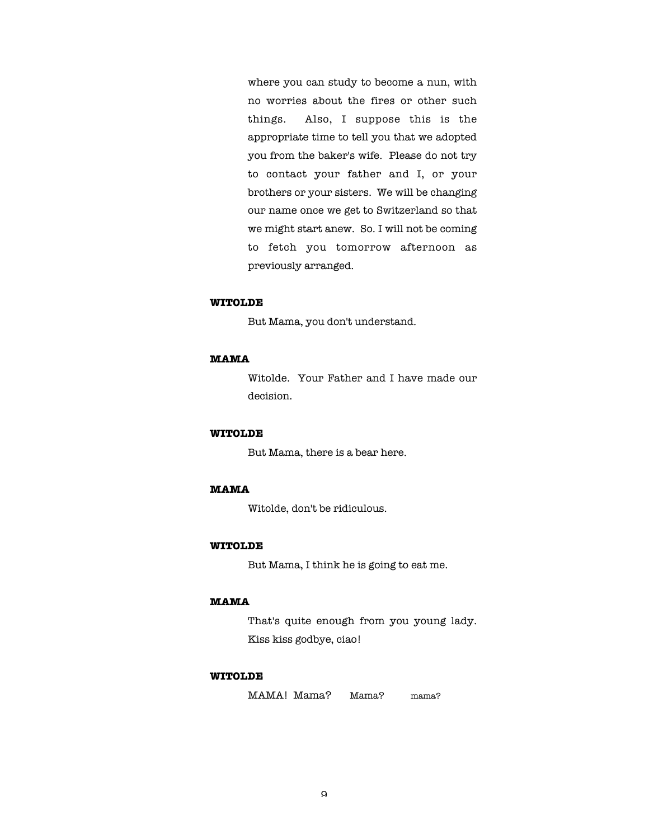where you can study to become a nun, with no worries about the fires or other such things. Also, I suppose this is the appropriate time to tell you that we adopted you from the baker's wife. Please do not try to contact your father and I, or your brothers or your sisters. We will be changing our name once we get to Switzerland so that we might start anew. So. I will not be coming to fetch you tomorrow afternoon as previously arranged.

# **WITOLDE**

But Mama, you don't understand.

#### **MAMA**

Witolde. Your Father and I have made our decision.

### **WITOLDE**

But Mama, there is a bear here.

### **MAMA**

Witolde, don't be ridiculous.

#### **WITOLDE**

But Mama, I think he is going to eat me.

### **MAMA**

That's quite enough from you young lady. Kiss kiss godbye, ciao!

### **WITOLDE**

MAMA! Mama? Mama? mama?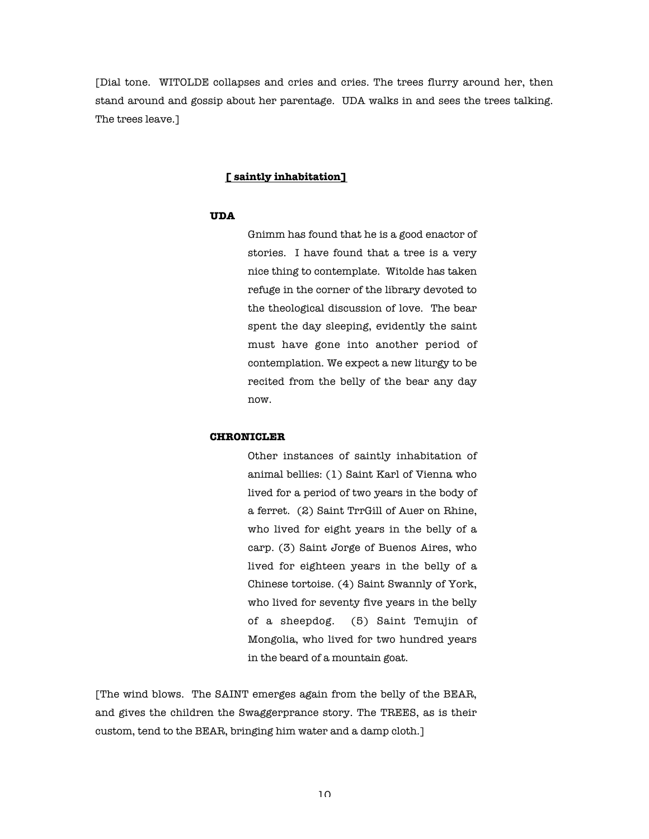[Dial tone. WITOLDE collapses and cries and cries. The trees flurry around her, then stand around and gossip about her parentage. UDA walks in and sees the trees talking. The trees leave.]

### **[ saintly inhabitation]**

#### **UDA**

Gnimm has found that he is a good enactor of stories. I have found that a tree is a very nice thing to contemplate. Witolde has taken refuge in the corner of the library devoted to the theological discussion of love. The bear spent the day sleeping, evidently the saint must have gone into another period of contemplation. We expect a new liturgy to be recited from the belly of the bear any day now.

#### **CHRONICLER**

Other instances of saintly inhabitation of animal bellies: (1) Saint Karl of Vienna who lived for a period of two years in the body of a ferret. (2) Saint TrrGill of Auer on Rhine, who lived for eight years in the belly of a carp. (3) Saint Jorge of Buenos Aires, who lived for eighteen years in the belly of a Chinese tortoise. (4) Saint Swannly of York, who lived for seventy five years in the belly of a sheepdog. (5) Saint Temujin of Mongolia, who lived for two hundred years in the beard of a mountain goat.

[The wind blows. The SAINT emerges again from the belly of the BEAR, and gives the children the Swaggerprance story. The TREES, as is their custom, tend to the BEAR, bringing him water and a damp cloth.]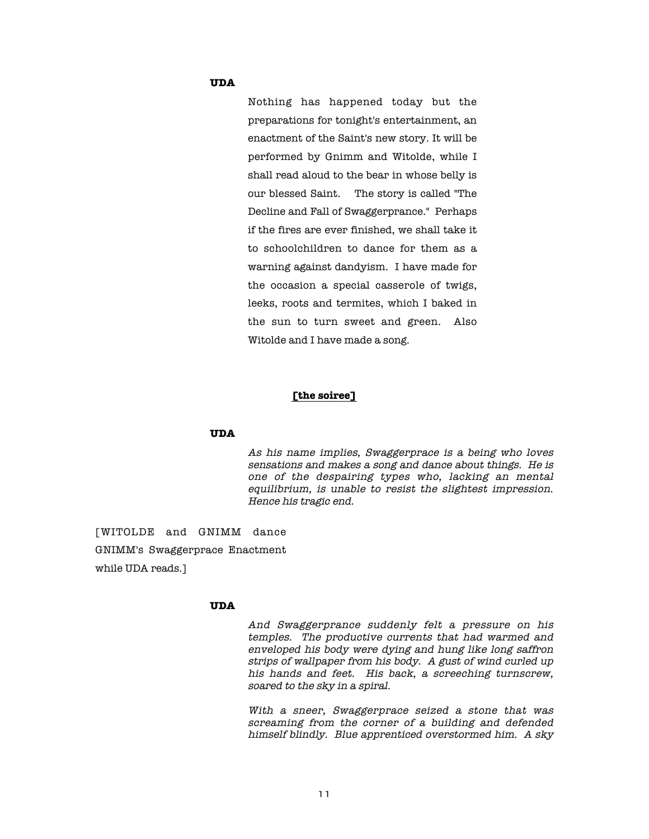# **UDA**

Nothing has happened today but the preparations for tonight's entertainment, an enactment of the Saint's new story. It will be performed by Gnimm and Witolde, while I shall read aloud to the bear in whose belly is our blessed Saint. The story is called "The Decline and Fall of Swaggerprance." Perhaps if the fires are ever finished, we shall take it to schoolchildren to dance for them as a warning against dandyism. I have made for the occasion a special casserole of twigs, leeks, roots and termites, which I baked in the sun to turn sweet and green. Also Witolde and I have made a song.

### **[the soiree]**

#### **UDA**

As his name implies, Swaggerprace is a being who loves sensations and makes a song and dance about things. He is one of the despairing types who, lacking an mental equilibrium, is unable to resist the slightest impression. Hence his tragic end.

[WITOLDE and GNIMM dance GNIMM's Swaggerprace Enactment while UDA reads.]

#### **UDA**

And Swaggerprance suddenly felt a pressure on his temples. The productive currents that had warmed and enveloped his body were dying and hung like long saffron strips of wallpaper from his body. A gust of wind curled up his hands and feet. His back, a screeching turnscrew, soared to the sky in a spiral.

With a sneer, Swaggerprace seized a stone that was screaming from the corner of a building and defended himself blindly. Blue apprenticed overstormed him. A sky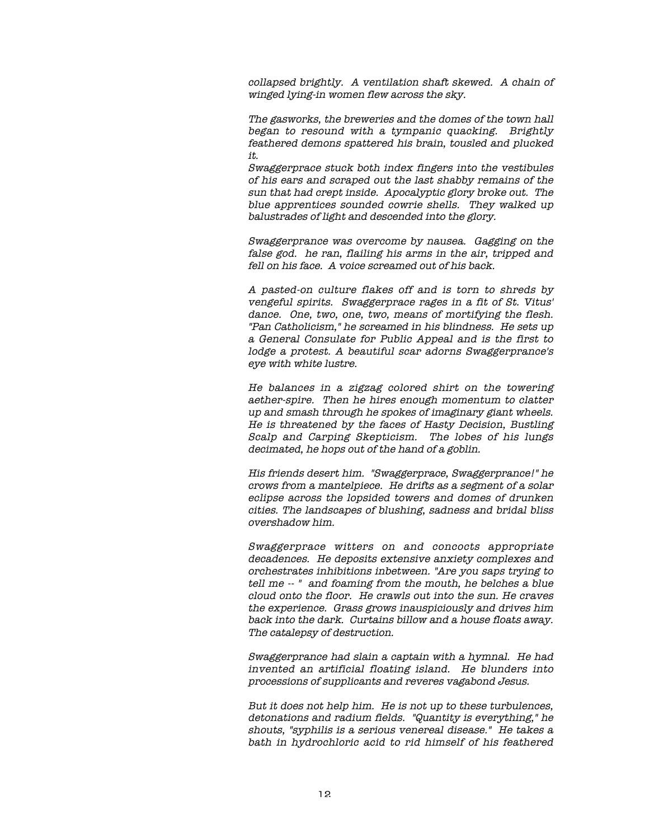collapsed brightly. A ventilation shaft skewed. A chain of winged lying-in women flew across the sky.

The gasworks, the breweries and the domes of the town hall began to resound with a tympanic quacking. Brightly feathered demons spattered his brain, tousled and plucked it.

Swaggerprace stuck both index fingers into the vestibules of his ears and scraped out the last shabby remains of the sun that had crept inside. Apocalyptic glory broke out. The blue apprentices sounded cowrie shells. They walked up balustrades of light and descended into the glory.

Swaggerprance was overcome by nausea. Gagging on the false god. he ran, flailing his arms in the air, tripped and fell on his face. A voice screamed out of his back.

A pasted-on culture flakes off and is torn to shreds by vengeful spirits. Swaggerprace rages in a fit of St. Vitus' dance. One, two, one, two, means of mortifying the flesh. "Pan Catholicism," he screamed in his blindness. He sets up a General Consulate for Public Appeal and is the first to lodge a protest. A beautiful scar adorns Swaggerprance's eye with white lustre.

He balances in a zigzag colored shirt on the towering aether-spire. Then he hires enough momentum to clatter up and smash through he spokes of imaginary giant wheels. He is threatened by the faces of Hasty Decision, Bustling Scalp and Carping Skepticism. The lobes of his lungs decimated, he hops out of the hand of a goblin.

His friends desert him. "Swaggerprace, Swaggerprance!" he crows from a mantelpiece. He drifts as a segment of a solar eclipse across the lopsided towers and domes of drunken cities. The landscapes of blushing, sadness and bridal bliss overshadow him.

Swaggerprace witters on and concocts appropriate decadences. He deposits extensive anxiety complexes and orchestrates inhibitions inbetween. "Are you saps trying to tell me -- " and foaming from the mouth, he belches a blue cloud onto the floor. He crawls out into the sun. He craves the experience. Grass grows inauspiciously and drives him back into the dark. Curtains billow and a house floats away. The catalepsy of destruction.

Swaggerprance had slain a captain with a hymnal. He had invented an artificial floating island. He blunders into processions of supplicants and reveres vagabond Jesus.

But it does not help him. He is not up to these turbulences, detonations and radium fields. "Quantity is everything," he shouts, "syphilis is a serious venereal disease." He takes a bath in hydrochloric acid to rid himself of his feathered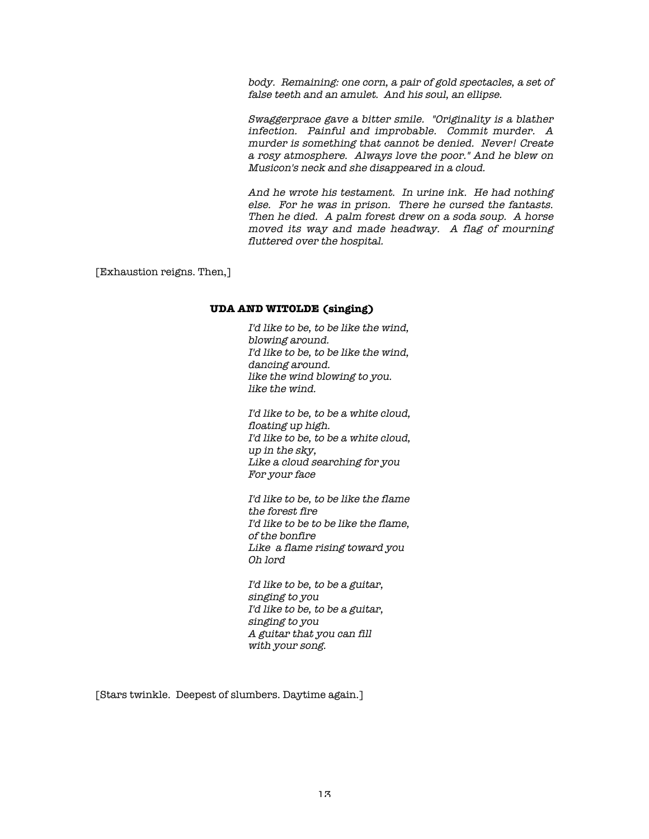body. Remaining: one corn, a pair of gold spectacles, a set of false teeth and an amulet. And his soul, an ellipse.

Swaggerprace gave a bitter smile. "Originality is a blather infection. Painful and improbable. Commit murder. A murder is something that cannot be denied. Never! Create a rosy atmosphere. Always love the poor." And he blew on Musicon's neck and she disappeared in a cloud.

And he wrote his testament. In urine ink. He had nothing else. For he was in prison. There he cursed the fantasts. Then he died. A palm forest drew on a soda soup. A horse moved its way and made headway. A flag of mourning fluttered over the hospital.

[Exhaustion reigns. Then,]

# **UDA AND WITOLDE (singing)**

I'd like to be, to be like the wind, blowing around. I'd like to be, to be like the wind, dancing around. like the wind blowing to you. like the wind.

I'd like to be, to be a white cloud, floating up high. I'd like to be, to be a white cloud, up in the sky, Like a cloud searching for you For your face

I'd like to be, to be like the flame the forest fire I'd like to be to be like the flame, of the bonfire Like a flame rising toward you Oh lord

I'd like to be, to be a guitar, singing to you I'd like to be, to be a guitar, singing to you A guitar that you can fill with your song.

[Stars twinkle. Deepest of slumbers. Daytime again.]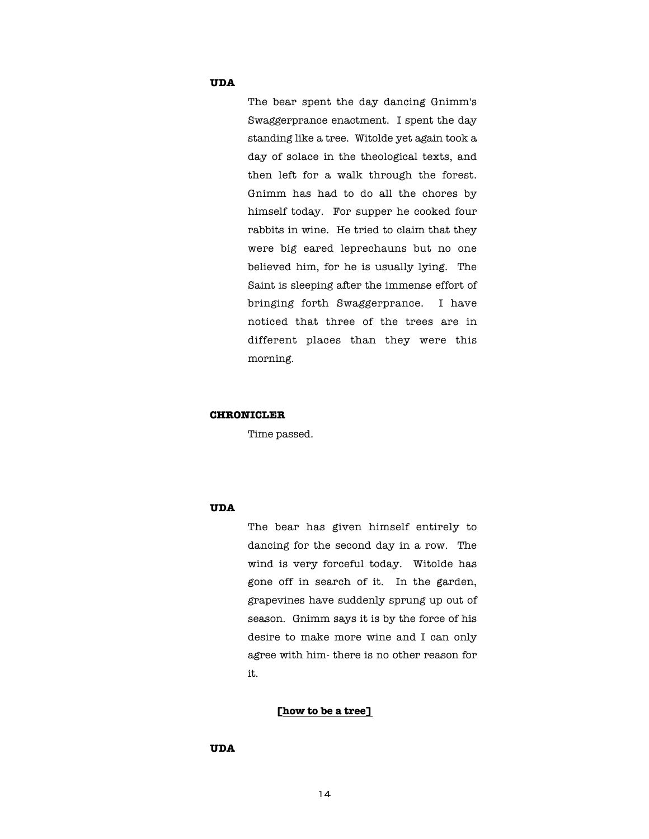# **UDA**

The bear spent the day dancing Gnimm's Swaggerprance enactment. I spent the day standing like a tree. Witolde yet again took a day of solace in the theological texts, and then left for a walk through the forest. Gnimm has had to do all the chores by himself today. For supper he cooked four rabbits in wine. He tried to claim that they were big eared leprechauns but no one believed him, for he is usually lying. The Saint is sleeping after the immense effort of bringing forth Swaggerprance. I have noticed that three of the trees are in different places than they were this morning.

### **CHRONICLER**

Time passed.

# **UDA**

The bear has given himself entirely to dancing for the second day in a row. The wind is very forceful today. Witolde has gone off in search of it. In the garden, grapevines have suddenly sprung up out of season. Gnimm says it is by the force of his desire to make more wine and I can only agree with him- there is no other reason for it.

# **[how to be a tree]**

#### **UDA**

14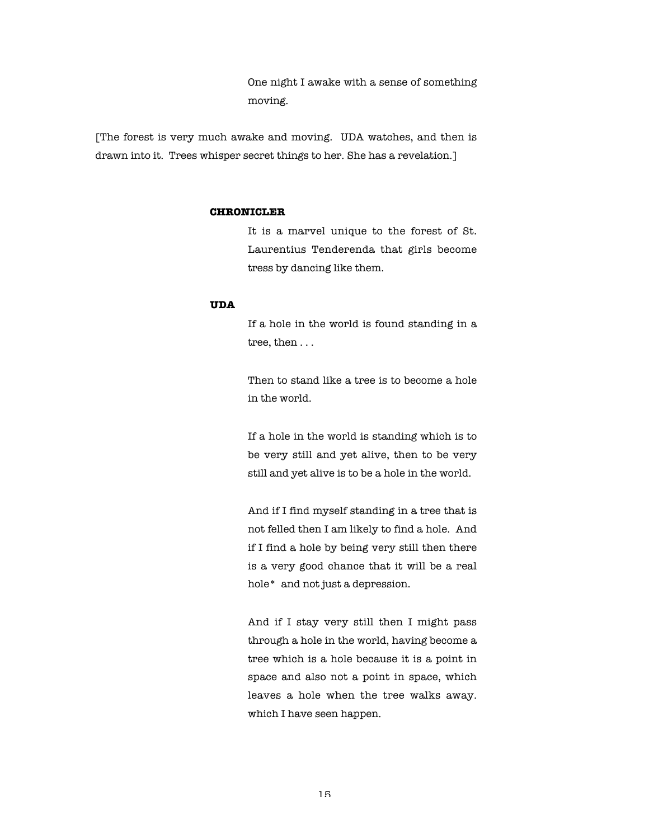One night I awake with a sense of something moving.

[The forest is very much awake and moving. UDA watches, and then is drawn into it. Trees whisper secret things to her. She has a revelation.]

#### **CHRONICLER**

It is a marvel unique to the forest of St. Laurentius Tenderenda that girls become tress by dancing like them.

### **UDA**

If a hole in the world is found standing in a tree, then . . .

Then to stand like a tree is to become a hole in the world.

If a hole in the world is standing which is to be very still and yet alive, then to be very still and yet alive is to be a hole in the world.

And if I find myself standing in a tree that is not felled then I am likely to find a hole. And if I find a hole by being very still then there is a very good chance that it will be a real hole\* and not just a depression.

And if I stay very still then I might pass through a hole in the world, having become a tree which is a hole because it is a point in space and also not a point in space, which leaves a hole when the tree walks away. which I have seen happen.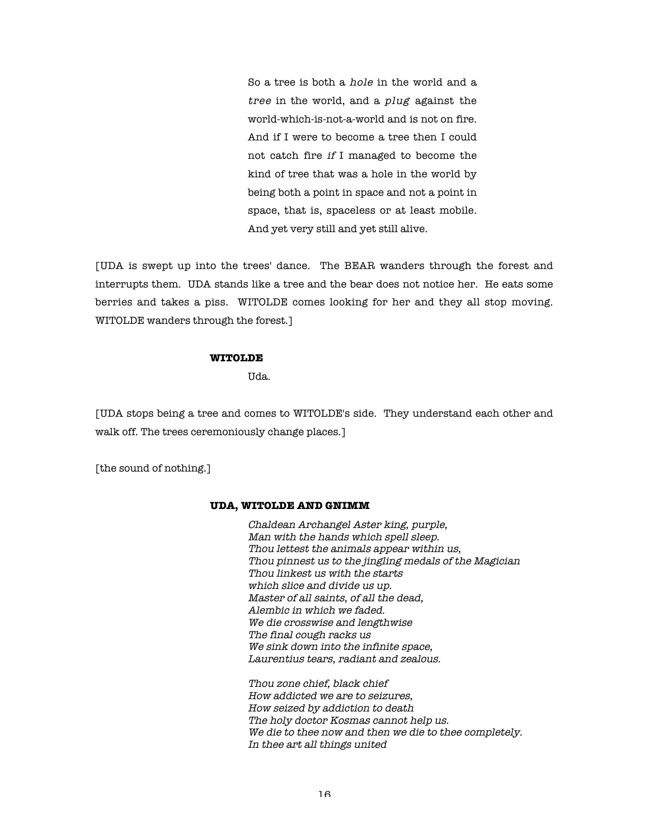So a tree is both a hole in the world and a tree in the world, and a plug against the world-which-is-not-a-world and is not on fire. And if I were to become a tree then I could not catch fire if I managed to become the kind of tree that was a hole in the world by being both a point in space and not a point in space, that is, spaceless or at least mobile. And yet very still and yet still alive.

[UDA is swept up into the trees' dance. The BEAR wanders through the forest and interrupts them. UDA stands like a tree and the bear does not notice her. He eats some berries and takes a piss. WITOLDE comes looking for her and they all stop moving. WITOLDE wanders through the forest.]

#### **WITOLDE**

Uda.

[UDA stops being a tree and comes to WITOLDE's side. They understand each other and walk off. The trees ceremoniously change places.]

[the sound of nothing.]

### **UDA, WITOLDE AND GNIMM**

Chaldean Archangel Aster king, purple, Man with the hands which spell sleep. Thou lettest the animals appear within us, Thou pinnest us to the jingling medals of the Magician Thou linkest us with the starts which slice and divide us up. Master of all saints, of all the dead, Alembic in which we faded. We die crosswise and lengthwise The final cough racks us We sink down into the infinite space, Laurentius tears, radiant and zealous.

Thou zone chief, black chief How addicted we are to seizures, How seized by addiction to death The holy doctor Kosmas cannot help us. We die to thee now and then we die to thee completely. In thee art all things united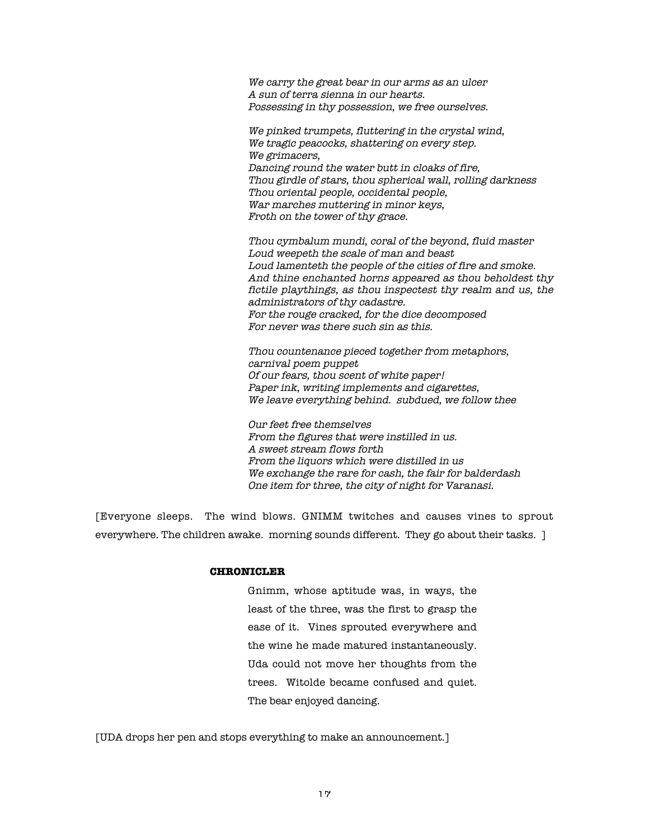We carry the great bear in our arms as an ulcer A sun of terra sienna in our hearts. Possessing in thy possession, we free ourselves.

We pinked trumpets, fluttering in the crystal wind, We tragic peacocks, shattering on every step. We grimacers, Dancing round the water butt in cloaks of fire, Thou girdle of stars, thou spherical wall, rolling darkness Thou oriental people, occidental people, War marches muttering in minor keys, Froth on the tower of thy grace.

Thou cymbalum mundi, coral of the beyond, fluid master Loud weepeth the scale of man and beast Loud lamenteth the people of the cities of fire and smoke. And thine enchanted horns appeared as thou beholdest thy fictile playthings, as thou inspectest thy realm and us, the administrators of thy cadastre. For the rouge cracked, for the dice decomposed For never was there such sin as this.

Thou countenance pieced together from metaphors, carnival poem puppet Of our fears, thou scent of white paper! Paper ink, writing implements and cigarettes, We leave everything behind. subdued, we follow thee

Our feet free themselves From the figures that were instilled in us. A sweet stream flows forth From the liquors which were distilled in us We exchange the rare for cash, the fair for balderdash One item for three, the city of night for Varanasi.

[Everyone sleeps. The wind blows. GNIMM twitches and causes vines to sprout everywhere. The children awake. morning sounds different. They go about their tasks. 1

#### **CHRONICLER**

Gnimm, whose aptitude was, in ways, the least of the three, was the first to grasp the ease of it. Vines sprouted everywhere and the wine he made matured instantaneously. Uda could not move her thoughts from the trees. Witolde became confused and quiet. The bear enjoyed dancing.

[UDA drops her pen and stops everything to make an announcement.]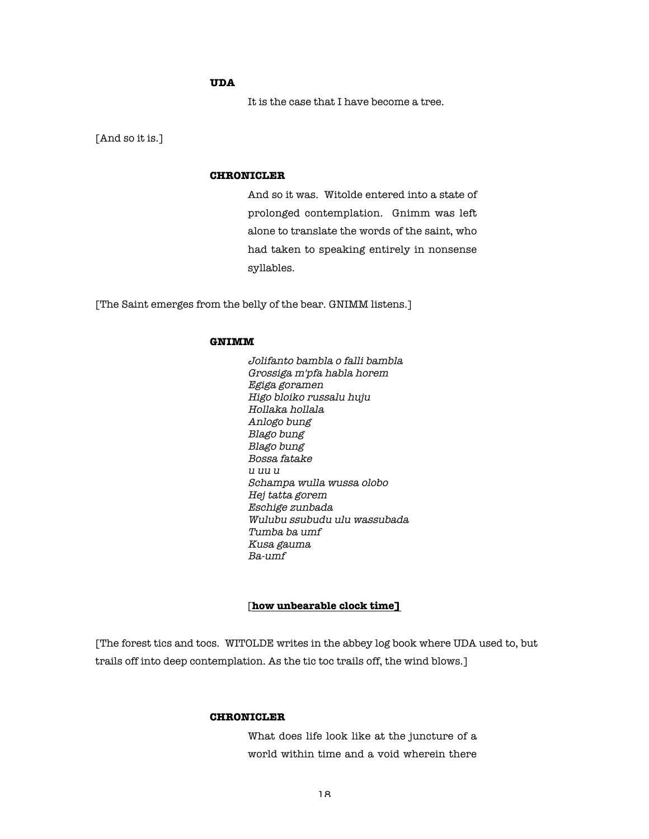# **UDA**

It is the case that I have become a tree.

[And so it is.]

### **CHRONICLER**

And so it was. Witolde entered into a state of prolonged contemplation. Gnimm was left alone to translate the words of the saint, who had taken to speaking entirely in nonsense syllables.

[The Saint emerges from the belly of the bear. GNIMM listens.]

#### **GNIMM**

Jolifanto bambla o falli bambla Grossiga m'pfa habla horem Egiga goramen Higo bloiko russalu huju Hollaka hollala Anlogo bung Blago bung Blago bung Bossa fatake u uu u Schampa wulla wussa olobo Hej tatta gorem Eschige zunbada Wulubu ssubudu ulu wassubada Tumba ba umf Kusa gauma Ba-umf

# [**how unbearable clock time]**

[The forest tics and tocs. WITOLDE writes in the abbey log book where UDA used to, but trails off into deep contemplation. As the tic toc trails off, the wind blows.]

# **CHRONICLER**

What does life look like at the juncture of a world within time and a void wherein there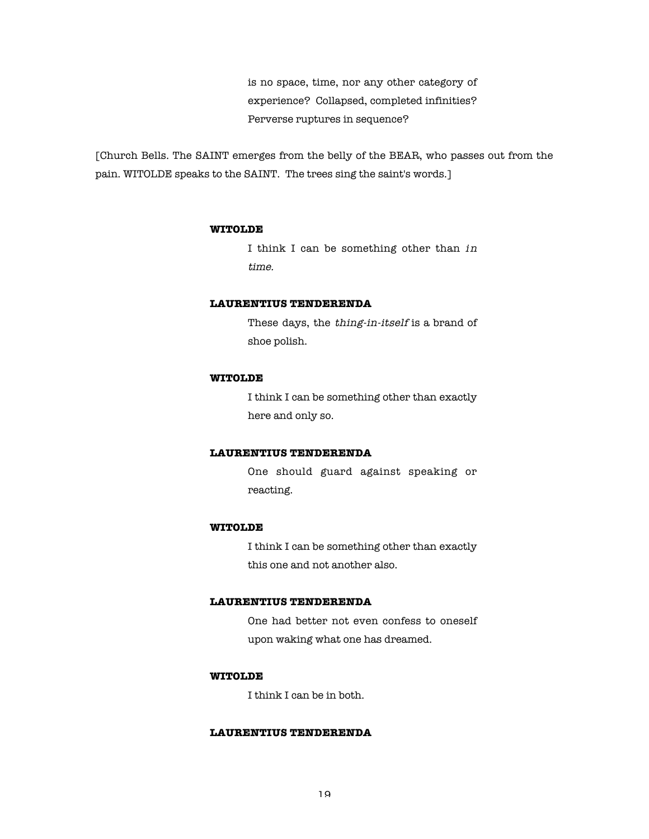is no space, time, nor any other category of experience? Collapsed, completed infinities? Perverse ruptures in sequence?

[Church Bells. The SAINT emerges from the belly of the BEAR, who passes out from the pain. WITOLDE speaks to the SAINT. The trees sing the saint's words.]

#### **WITOLDE**

I think I can be something other than  $in$ time.

# **LAURENTIUS TENDERENDA**

These days, the thing-in-itself is a brand of shoe polish.

### **WITOLDE**

I think I can be something other than exactly here and only so.

#### **LAURENTIUS TENDERENDA**

One should guard against speaking or reacting.

#### **WITOLDE**

I think I can be something other than exactly this one and not another also.

## **LAURENTIUS TENDERENDA**

One had better not even confess to oneself upon waking what one has dreamed.

### **WITOLDE**

I think I can be in both.

### **LAURENTIUS TENDERENDA**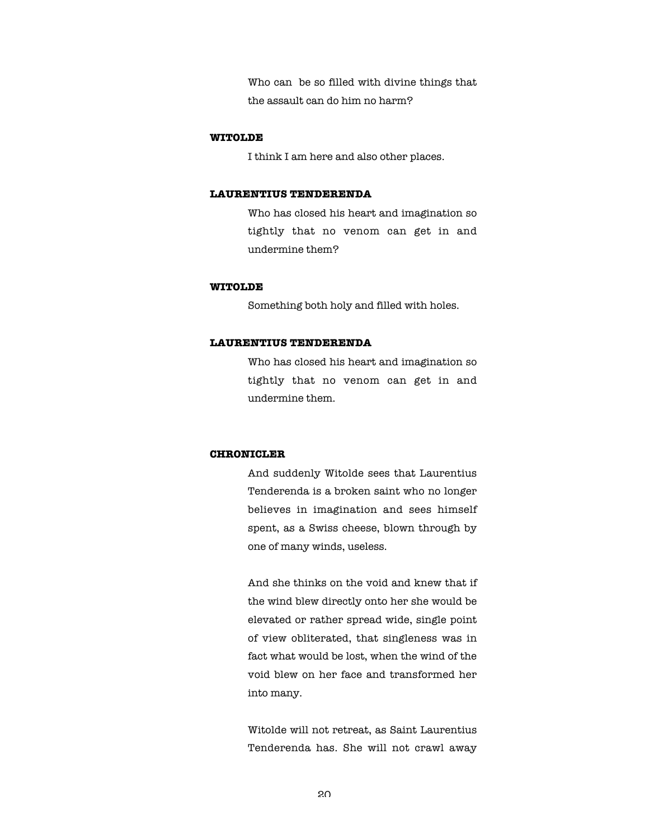Who can be so filled with divine things that the assault can do him no harm?

### **WITOLDE**

I think I am here and also other places.

# **LAURENTIUS TENDERENDA**

Who has closed his heart and imagination so tightly that no venom can get in and undermine them?

# **WITOLDE**

Something both holy and filled with holes.

#### **LAURENTIUS TENDERENDA**

Who has closed his heart and imagination so tightly that no venom can get in and undermine them.

### **CHRONICLER**

And suddenly Witolde sees that Laurentius Tenderenda is a broken saint who no longer believes in imagination and sees himself spent, as a Swiss cheese, blown through by one of many winds, useless.

And she thinks on the void and knew that if the wind blew directly onto her she would be elevated or rather spread wide, single point of view obliterated, that singleness was in fact what would be lost, when the wind of the void blew on her face and transformed her into many.

Witolde will not retreat, as Saint Laurentius Tenderenda has. She will not crawl away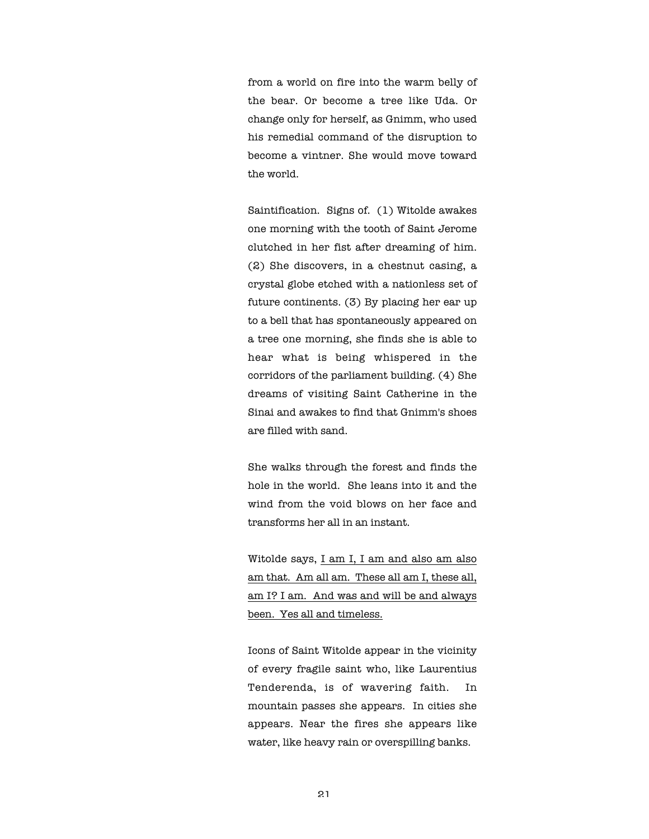from a world on fire into the warm belly of the bear. Or become a tree like Uda. Or change only for herself, as Gnimm, who used his remedial command of the disruption to become a vintner. She would move toward the world.

Saintification. Signs of. (1) Witolde awakes one morning with the tooth of Saint Jerome clutched in her fist after dreaming of him. (2) She discovers, in a chestnut casing, a crystal globe etched with a nationless set of future continents. (3) By placing her ear up to a bell that has spontaneously appeared on a tree one morning, she finds she is able to hear what is being whispered in the corridors of the parliament building. (4) She dreams of visiting Saint Catherine in the Sinai and awakes to find that Gnimm's shoes are filled with sand.

She walks through the forest and finds the hole in the world. She leans into it and the wind from the void blows on her face and transforms her all in an instant.

Witolde says, I am I, I am and also am also am that. Am all am. These all am I, these all, am I? I am. And was and will be and always been. Yes all and timeless.

Icons of Saint Witolde appear in the vicinity of every fragile saint who, like Laurentius Tenderenda, is of wavering faith. In mountain passes she appears. In cities she appears. Near the fires she appears like water, like heavy rain or overspilling banks.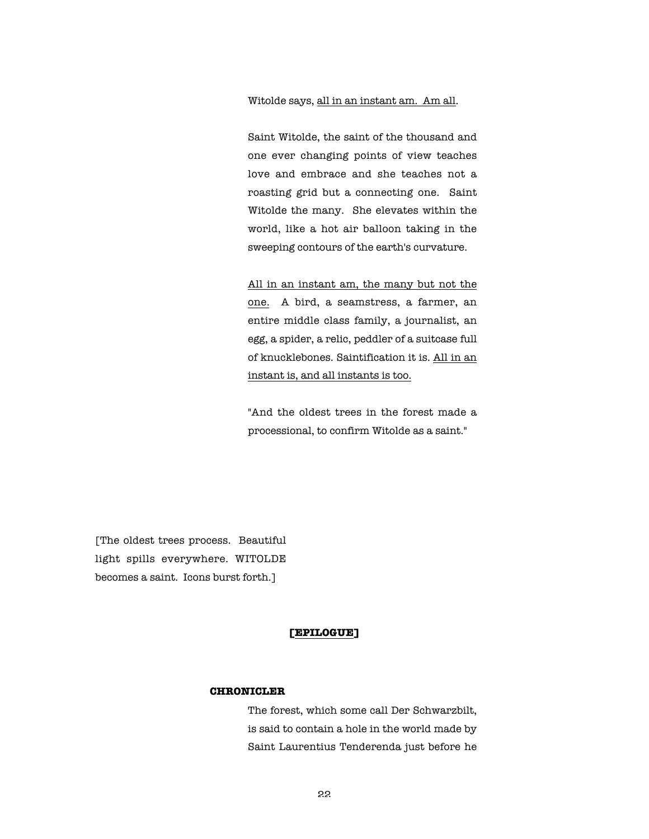Witolde says, all in an instant am. Am all.

Saint Witolde, the saint of the thousand and one ever changing points of view teaches love and embrace and she teaches not a roasting grid but a connecting one. Saint Witolde the many. She elevates within the world, like a hot air balloon taking in the sweeping contours of the earth's curvature.

All in an instant am, the many but not the one. A bird, a seamstress, a farmer, an entire middle class family, a journalist, an egg, a spider, a relic, peddler of a suitcase full of knucklebones. Saintification it is. All in an instant is, and all instants is too.

"And the oldest trees in the forest made a processional, to confirm Witolde as a saint."

[The oldest trees process. Beautiful light spills everywhere. WITOLDE becomes a saint. Icons burst forth.]

#### **[EPILOGUE]**

#### **CHRONICLER**

The forest, which some call Der Schwarzbilt, is said to contain a hole in the world made by Saint Laurentius Tenderenda just before he

22